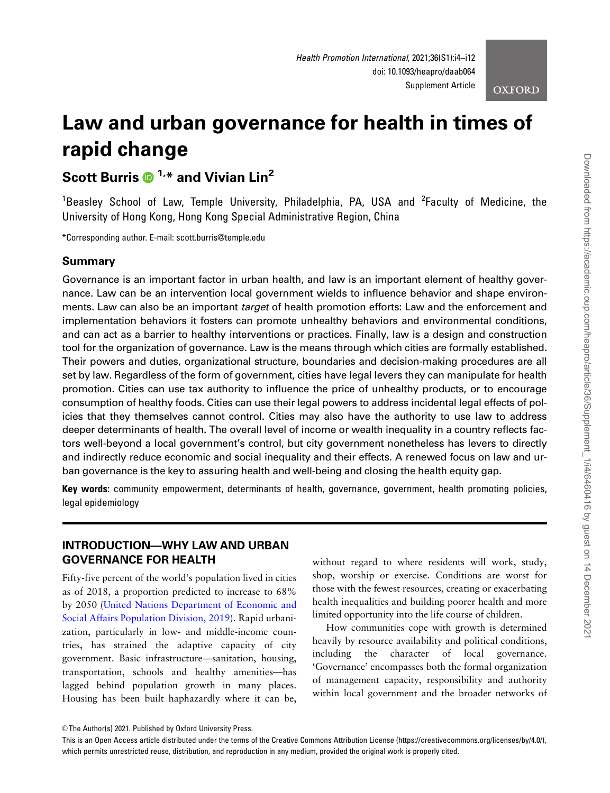**OXFORD** 

# Law and urban governance for health in times of rapid change

# Scott Burris  $\mathbf{D}^{1,*}$  and Vivian Lin<sup>2</sup>

<sup>1</sup>Beasley School of Law, Temple University, Philadelphia, PA, USA and <sup>2</sup>Faculty of Medicine, the University of Hong Kong, Hong Kong Special Administrative Region, China

\*Corresponding author. E-mail: scott.burris@temple.edu

#### Summary

Governance is an important factor in urban health, and law is an important element of healthy governance. Law can be an intervention local government wields to influence behavior and shape environments. Law can also be an important *target* of health promotion efforts: Law and the enforcement and implementation behaviors it fosters can promote unhealthy behaviors and environmental conditions, and can act as a barrier to healthy interventions or practices. Finally, law is a design and construction tool for the organization of governance. Law is the means through which cities are formally established. Their powers and duties, organizational structure, boundaries and decision-making procedures are all set by law. Regardless of the form of government, cities have legal levers they can manipulate for health promotion. Cities can use tax authority to influence the price of unhealthy products, or to encourage consumption of healthy foods. Cities can use their legal powers to address incidental legal effects of policies that they themselves cannot control. Cities may also have the authority to use law to address deeper determinants of health. The overall level of income or wealth inequality in a country reflects factors well-beyond a local government's control, but city government nonetheless has levers to directly and indirectly reduce economic and social inequality and their effects. A renewed focus on law and urban governance is the key to assuring health and well-being and closing the health equity gap.

Key words: community empowerment, determinants of health, governance, government, health promoting policies, legal epidemiology

#### INTRODUCTION—WHY LAW AND URBAN GOVERNANCE FOR HEALTH

Fifty-five percent of the world's population lived in cities as of 2018, a proportion predicted to increase to 68% by 2050 ([United Nations Department of Economic and](#page-8-0) [Social Affairs Population Division, 2019](#page-8-0)). Rapid urbanization, particularly in low- and middle-income countries, has strained the adaptive capacity of city government. Basic infrastructure—sanitation, housing, transportation, schools and healthy amenities—has lagged behind population growth in many places. Housing has been built haphazardly where it can be,

without regard to where residents will work, study, shop, worship or exercise. Conditions are worst for those with the fewest resources, creating or exacerbating health inequalities and building poorer health and more limited opportunity into the life course of children.

How communities cope with growth is determined heavily by resource availability and political conditions, including the character of local governance. 'Governance' encompasses both the formal organization of management capacity, responsibility and authority within local government and the broader networks of

<sup>©</sup> The Author(s) 2021. Published by Oxford University Press.

This is an Open Access article distributed under the terms of the Creative Commons Attribution License (https://creativecommons.org/licenses/by/4.0/), which permits unrestricted reuse, distribution, and reproduction in any medium, provided the original work is properly cited.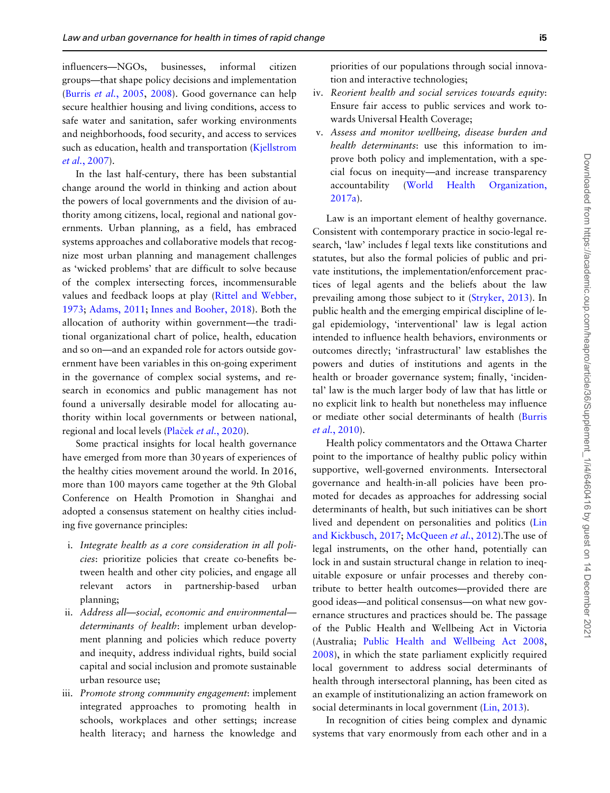influencers—NGOs, businesses, informal citizen groups—that shape policy decisions and implementation (Burris et al.[, 2005,](#page-7-0) [2008](#page-7-0)). Good governance can help secure healthier housing and living conditions, access to safe water and sanitation, safer working environments and neighborhoods, food security, and access to services such as education, health and transportation [\(Kjellstrom](#page-7-0) et al.[, 2007\)](#page-7-0).

In the last half-century, there has been substantial change around the world in thinking and action about the powers of local governments and the division of authority among citizens, local, regional and national governments. Urban planning, as a field, has embraced systems approaches and collaborative models that recognize most urban planning and management challenges as 'wicked problems' that are difficult to solve because of the complex intersecting forces, incommensurable values and feedback loops at play ([Rittel and Webber,](#page-8-0) [1973](#page-8-0); [Adams, 2011;](#page-6-0) [Innes and Booher, 2018](#page-7-0)). Both the allocation of authority within government—the traditional organizational chart of police, health, education and so on—and an expanded role for actors outside government have been variables in this on-going experiment in the governance of complex social systems, and research in economics and public management has not found a universally desirable model for allocating authority within local governments or between national, regional and local levels ([Pla](#page-8-0)ček *et al*.[, 2020\)](#page-8-0).

Some practical insights for local health governance have emerged from more than 30 years of experiences of the healthy cities movement around the world. In 2016, more than 100 mayors came together at the 9th Global Conference on Health Promotion in Shanghai and adopted a consensus statement on healthy cities including five governance principles:

- i. Integrate health as a core consideration in all policies: prioritize policies that create co-benefits between health and other city policies, and engage all relevant actors in partnership-based urban planning;
- ii. Address all—social, economic and environmental determinants of health: implement urban development planning and policies which reduce poverty and inequity, address individual rights, build social capital and social inclusion and promote sustainable urban resource use;
- iii. Promote strong community engagement: implement integrated approaches to promoting health in schools, workplaces and other settings; increase health literacy; and harness the knowledge and

priorities of our populations through social innovation and interactive technologies;

- iv. Reorient health and social services towards equity: Ensure fair access to public services and work towards Universal Health Coverage;
- v. Assess and monitor wellbeing, disease burden and health determinants: use this information to improve both policy and implementation, with a special focus on inequity—and increase transparency accountability [\(World Health Organization,](#page-8-0) [2017a](#page-8-0)).

Law is an important element of healthy governance. Consistent with contemporary practice in socio-legal research, 'law' includes f legal texts like constitutions and statutes, but also the formal policies of public and private institutions, the implementation/enforcement practices of legal agents and the beliefs about the law prevailing among those subject to it [\(Stryker, 2013\)](#page-8-0). In public health and the emerging empirical discipline of legal epidemiology, 'interventional' law is legal action intended to influence health behaviors, environments or outcomes directly; 'infrastructural' law establishes the powers and duties of institutions and agents in the health or broader governance system; finally, 'incidental' law is the much larger body of law that has little or no explicit link to health but nonetheless may influence or mediate other social determinants of health [\(Burris](#page-7-0) et al.[, 2010\)](#page-7-0).

Health policy commentators and the Ottawa Charter point to the importance of healthy public policy within supportive, well-governed environments. Intersectoral governance and health-in-all policies have been promoted for decades as approaches for addressing social determinants of health, but such initiatives can be short lived and dependent on personalities and politics [\(Lin](#page-8-0) [and Kickbusch, 2017](#page-8-0); [McQueen](#page-8-0) et al., 2012).The use of legal instruments, on the other hand, potentially can lock in and sustain structural change in relation to inequitable exposure or unfair processes and thereby contribute to better health outcomes—provided there are good ideas—and political consensus—on what new governance structures and practices should be. The passage of the Public Health and Wellbeing Act in Victoria (Australia; [Public Health and Wellbeing Act 2008](#page-8-0), [2008](#page-8-0)), in which the state parliament explicitly required local government to address social determinants of health through intersectoral planning, has been cited as an example of institutionalizing an action framework on social determinants in local government ([Lin, 2013](#page-8-0)).

In recognition of cities being complex and dynamic systems that vary enormously from each other and in a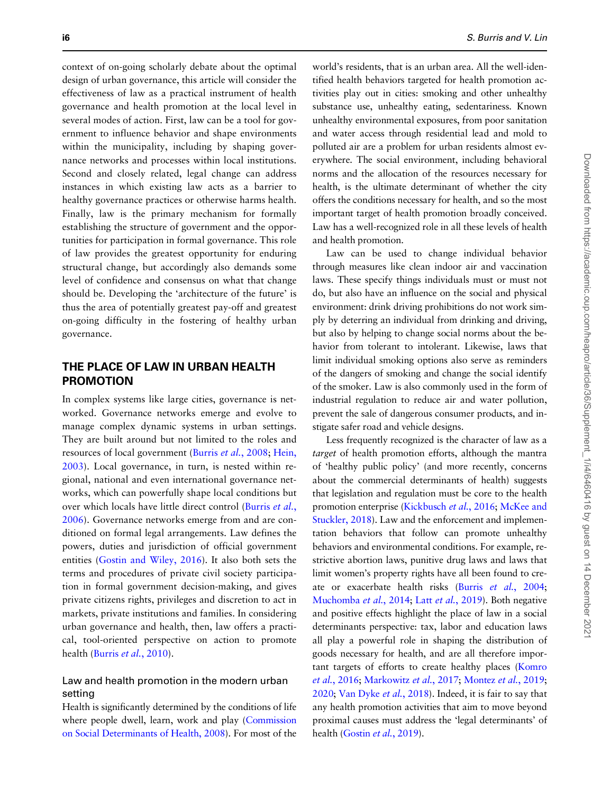context of on-going scholarly debate about the optimal design of urban governance, this article will consider the effectiveness of law as a practical instrument of health governance and health promotion at the local level in several modes of action. First, law can be a tool for government to influence behavior and shape environments within the municipality, including by shaping governance networks and processes within local institutions. Second and closely related, legal change can address instances in which existing law acts as a barrier to healthy governance practices or otherwise harms health. Finally, law is the primary mechanism for formally establishing the structure of government and the opportunities for participation in formal governance. This role of law provides the greatest opportunity for enduring structural change, but accordingly also demands some level of confidence and consensus on what that change should be. Developing the 'architecture of the future' is thus the area of potentially greatest pay-off and greatest on-going difficulty in the fostering of healthy urban governance.

#### THE PLACE OF LAW IN URBAN HEALTH PROMOTION

In complex systems like large cities, governance is networked. Governance networks emerge and evolve to manage complex dynamic systems in urban settings. They are built around but not limited to the roles and resources of local government (Burris et al.[, 2008;](#page-7-0) [Hein,](#page-7-0) [2003](#page-7-0)). Local governance, in turn, is nested within regional, national and even international governance networks, which can powerfully shape local conditions but over which locals have little direct control [\(Burris](#page-7-0) et al., [2006](#page-7-0)). Governance networks emerge from and are conditioned on formal legal arrangements. Law defines the powers, duties and jurisdiction of official government entities ([Gostin and Wiley, 2016](#page-7-0)). It also both sets the terms and procedures of private civil society participation in formal government decision-making, and gives private citizens rights, privileges and discretion to act in markets, private institutions and families. In considering urban governance and health, then, law offers a practical, tool-oriented perspective on action to promote health (Burris et al.[, 2010\)](#page-7-0).

#### Law and health promotion in the modern urban setting

Health is significantly determined by the conditions of life where people dwell, learn, work and play ([Commission](#page-7-0) [on Social Determinants of Health, 2008\)](#page-7-0). For most of the

world's residents, that is an urban area. All the well-identified health behaviors targeted for health promotion activities play out in cities: smoking and other unhealthy substance use, unhealthy eating, sedentariness. Known unhealthy environmental exposures, from poor sanitation and water access through residential lead and mold to polluted air are a problem for urban residents almost everywhere. The social environment, including behavioral norms and the allocation of the resources necessary for health, is the ultimate determinant of whether the city offers the conditions necessary for health, and so the most important target of health promotion broadly conceived. Law has a well-recognized role in all these levels of health and health promotion.

Law can be used to change individual behavior through measures like clean indoor air and vaccination laws. These specify things individuals must or must not do, but also have an influence on the social and physical environment: drink driving prohibitions do not work simply by deterring an individual from drinking and driving, but also by helping to change social norms about the behavior from tolerant to intolerant. Likewise, laws that limit individual smoking options also serve as reminders of the dangers of smoking and change the social identify of the smoker. Law is also commonly used in the form of industrial regulation to reduce air and water pollution, prevent the sale of dangerous consumer products, and instigate safer road and vehicle designs.

Less frequently recognized is the character of law as a target of health promotion efforts, although the mantra of 'healthy public policy' (and more recently, concerns about the commercial determinants of health) suggests that legislation and regulation must be core to the health promotion enterprise [\(Kickbusch](#page-7-0) et al., 2016; [McKee and](#page-8-0) [Stuckler, 2018](#page-8-0)). Law and the enforcement and implementation behaviors that follow can promote unhealthy behaviors and environmental conditions. For example, restrictive abortion laws, punitive drug laws and laws that limit women's property rights have all been found to cre-ate or exacerbate health risks (Burris et al.[, 2004](#page-7-0); [Muchomba](#page-8-0) et al., 2014; Latt et al.[, 2019\)](#page-8-0). Both negative and positive effects highlight the place of law in a social determinants perspective: tax, labor and education laws all play a powerful role in shaping the distribution of goods necessary for health, and are all therefore important targets of efforts to create healthy places [\(Komro](#page-7-0) et al.[, 2016](#page-7-0); [Markowitz](#page-8-0) et al., 2017; [Montez](#page-8-0) et al., 2019; [2020;](#page-8-0) [Van Dyke](#page-8-0) et al., 2018). Indeed, it is fair to say that any health promotion activities that aim to move beyond proximal causes must address the 'legal determinants' of health ([Gostin](#page-7-0) et al., 2019).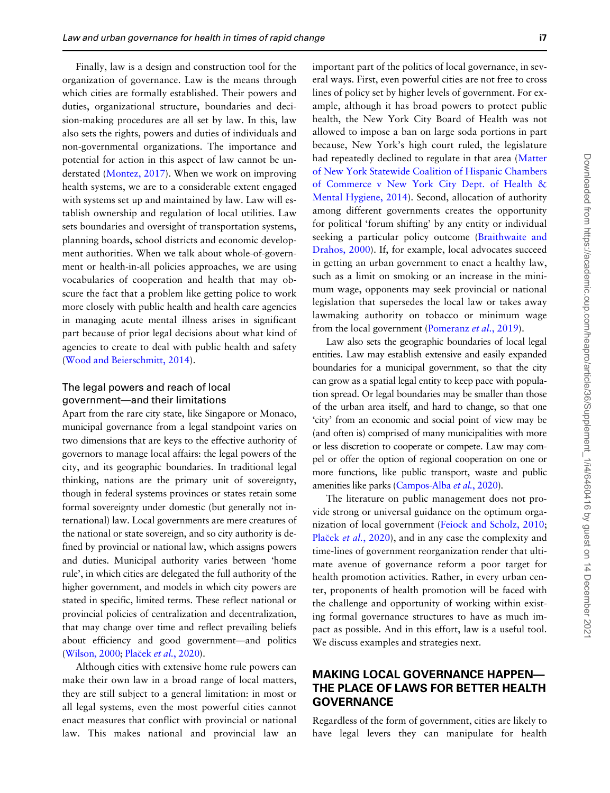Finally, law is a design and construction tool for the organization of governance. Law is the means through which cities are formally established. Their powers and duties, organizational structure, boundaries and decision-making procedures are all set by law. In this, law also sets the rights, powers and duties of individuals and non-governmental organizations. The importance and potential for action in this aspect of law cannot be understated [\(Montez, 2017](#page-8-0)). When we work on improving health systems, we are to a considerable extent engaged with systems set up and maintained by law. Law will establish ownership and regulation of local utilities. Law sets boundaries and oversight of transportation systems, planning boards, school districts and economic development authorities. When we talk about whole-of-government or health-in-all policies approaches, we are using vocabularies of cooperation and health that may obscure the fact that a problem like getting police to work more closely with public health and health care agencies in managing acute mental illness arises in significant part because of prior legal decisions about what kind of agencies to create to deal with public health and safety [\(Wood and Beierschmitt, 2014\)](#page-8-0).

#### The legal powers and reach of local government—and their limitations

Apart from the rare city state, like Singapore or Monaco, municipal governance from a legal standpoint varies on two dimensions that are keys to the effective authority of governors to manage local affairs: the legal powers of the city, and its geographic boundaries. In traditional legal thinking, nations are the primary unit of sovereignty, though in federal systems provinces or states retain some formal sovereignty under domestic (but generally not international) law. Local governments are mere creatures of the national or state sovereign, and so city authority is defined by provincial or national law, which assigns powers and duties. Municipal authority varies between 'home rule', in which cities are delegated the full authority of the higher government, and models in which city powers are stated in specific, limited terms. These reflect national or provincial policies of centralization and decentralization, that may change over time and reflect prevailing beliefs about efficiency and good government—and politics [\(Wilson, 2000;](#page-8-0) [Pla](#page-8-0)ček et al.[, 2020](#page-8-0)).

Although cities with extensive home rule powers can make their own law in a broad range of local matters, they are still subject to a general limitation: in most or all legal systems, even the most powerful cities cannot enact measures that conflict with provincial or national law. This makes national and provincial law an

important part of the politics of local governance, in several ways. First, even powerful cities are not free to cross lines of policy set by higher levels of government. For example, although it has broad powers to protect public health, the New York City Board of Health was not allowed to impose a ban on large soda portions in part because, New York's high court ruled, the legislature had repeatedly declined to regulate in that area [\(Matter](#page-8-0) [of New York Statewide Coalition of Hispanic Chambers](#page-8-0) [of Commerce v New York City Dept. of Health &](#page-8-0) [Mental Hygiene, 2014](#page-8-0)). Second, allocation of authority among different governments creates the opportunity for political 'forum shifting' by any entity or individual seeking a particular policy outcome [\(Braithwaite and](#page-6-0) [Drahos, 2000](#page-6-0)). If, for example, local advocates succeed in getting an urban government to enact a healthy law, such as a limit on smoking or an increase in the minimum wage, opponents may seek provincial or national legislation that supersedes the local law or takes away lawmaking authority on tobacco or minimum wage from the local government [\(Pomeranz](#page-8-0) et al., 2019).

Law also sets the geographic boundaries of local legal entities. Law may establish extensive and easily expanded boundaries for a municipal government, so that the city can grow as a spatial legal entity to keep pace with population spread. Or legal boundaries may be smaller than those of the urban area itself, and hard to change, so that one 'city' from an economic and social point of view may be (and often is) comprised of many municipalities with more or less discretion to cooperate or compete. Law may compel or offer the option of regional cooperation on one or more functions, like public transport, waste and public amenities like parks [\(Campos-Alba](#page-7-0) et al., 2020).

The literature on public management does not provide strong or universal guidance on the optimum organization of local government [\(Feiock and Scholz, 2010](#page-7-0); [Pla](#page-8-0)ček et al.[, 2020\)](#page-8-0), and in any case the complexity and time-lines of government reorganization render that ultimate avenue of governance reform a poor target for health promotion activities. Rather, in every urban center, proponents of health promotion will be faced with the challenge and opportunity of working within existing formal governance structures to have as much impact as possible. And in this effort, law is a useful tool. We discuss examples and strategies next.

### MAKING LOCAL GOVERNANCE HAPPEN— THE PLACE OF LAWS FOR BETTER HEALTH **GOVERNANCE**

Regardless of the form of government, cities are likely to have legal levers they can manipulate for health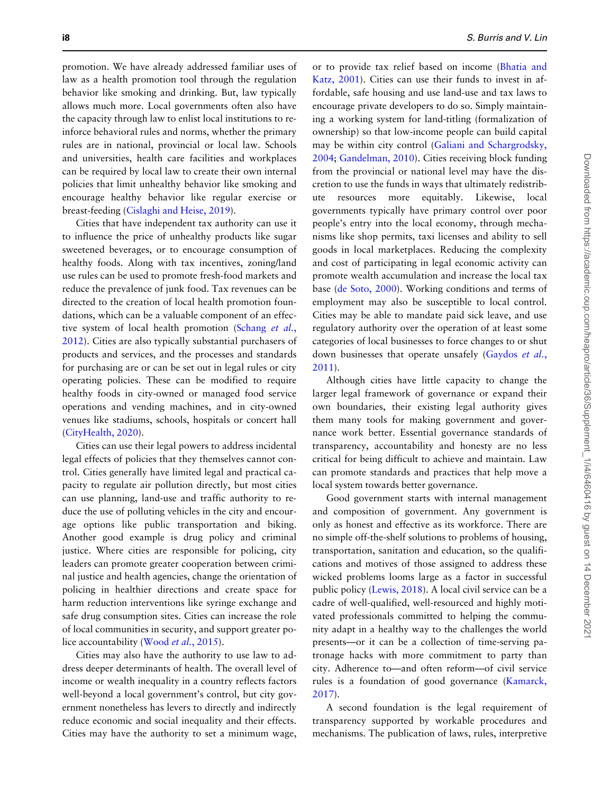promotion. We have already addressed familiar uses of law as a health promotion tool through the regulation behavior like smoking and drinking. But, law typically allows much more. Local governments often also have the capacity through law to enlist local institutions to reinforce behavioral rules and norms, whether the primary rules are in national, provincial or local law. Schools and universities, health care facilities and workplaces can be required by local law to create their own internal policies that limit unhealthy behavior like smoking and encourage healthy behavior like regular exercise or breast-feeding [\(Cislaghi and Heise, 2019](#page-7-0)).

Cities that have independent tax authority can use it to influence the price of unhealthy products like sugar sweetened beverages, or to encourage consumption of healthy foods. Along with tax incentives, zoning/land use rules can be used to promote fresh-food markets and reduce the prevalence of junk food. Tax revenues can be directed to the creation of local health promotion foundations, which can be a valuable component of an effec-tive system of local health promotion [\(Schang](#page-8-0) et al., [2012](#page-8-0)). Cities are also typically substantial purchasers of products and services, and the processes and standards for purchasing are or can be set out in legal rules or city operating policies. These can be modified to require healthy foods in city-owned or managed food service operations and vending machines, and in city-owned venues like stadiums, schools, hospitals or concert hall [\(CityHealth, 2020](#page-7-0)).

Cities can use their legal powers to address incidental legal effects of policies that they themselves cannot control. Cities generally have limited legal and practical capacity to regulate air pollution directly, but most cities can use planning, land-use and traffic authority to reduce the use of polluting vehicles in the city and encourage options like public transportation and biking. Another good example is drug policy and criminal justice. Where cities are responsible for policing, city leaders can promote greater cooperation between criminal justice and health agencies, change the orientation of policing in healthier directions and create space for harm reduction interventions like syringe exchange and safe drug consumption sites. Cities can increase the role of local communities in security, and support greater police accountability (Wood *et al.*[, 2015\)](#page-8-0).

Cities may also have the authority to use law to address deeper determinants of health. The overall level of income or wealth inequality in a country reflects factors well-beyond a local government's control, but city government nonetheless has levers to directly and indirectly reduce economic and social inequality and their effects. Cities may have the authority to set a minimum wage,

or to provide tax relief based on income [\(Bhatia and](#page-6-0) [Katz, 2001](#page-6-0)). Cities can use their funds to invest in affordable, safe housing and use land-use and tax laws to encourage private developers to do so. Simply maintaining a working system for land-titling (formalization of ownership) so that low-income people can build capital may be within city control ([Galiani and Schargrodsky,](#page-7-0) [2004](#page-7-0); [Gandelman, 2010](#page-7-0)). Cities receiving block funding from the provincial or national level may have the discretion to use the funds in ways that ultimately redistribute resources more equitably. Likewise, local governments typically have primary control over poor people's entry into the local economy, through mechanisms like shop permits, taxi licenses and ability to sell goods in local marketplaces. Reducing the complexity and cost of participating in legal economic activity can promote wealth accumulation and increase the local tax base [\(de Soto, 2000](#page-7-0)). Working conditions and terms of employment may also be susceptible to local control. Cities may be able to mandate paid sick leave, and use regulatory authority over the operation of at least some categories of local businesses to force changes to or shut down businesses that operate unsafely [\(Gaydos](#page-7-0) et al., [2011](#page-7-0)).

Although cities have little capacity to change the larger legal framework of governance or expand their own boundaries, their existing legal authority gives them many tools for making government and governance work better. Essential governance standards of transparency, accountability and honesty are no less critical for being difficult to achieve and maintain. Law can promote standards and practices that help move a local system towards better governance.

Good government starts with internal management and composition of government. Any government is only as honest and effective as its workforce. There are no simple off-the-shelf solutions to problems of housing, transportation, sanitation and education, so the qualifications and motives of those assigned to address these wicked problems looms large as a factor in successful public policy ([Lewis, 2018](#page-8-0)). A local civil service can be a cadre of well-qualified, well-resourced and highly motivated professionals committed to helping the community adapt in a healthy way to the challenges the world presents—or it can be a collection of time-serving patronage hacks with more commitment to party than city. Adherence to—and often reform—of civil service rules is a foundation of good governance ([Kamarck,](#page-7-0) [2017](#page-7-0)).

A second foundation is the legal requirement of transparency supported by workable procedures and mechanisms. The publication of laws, rules, interpretive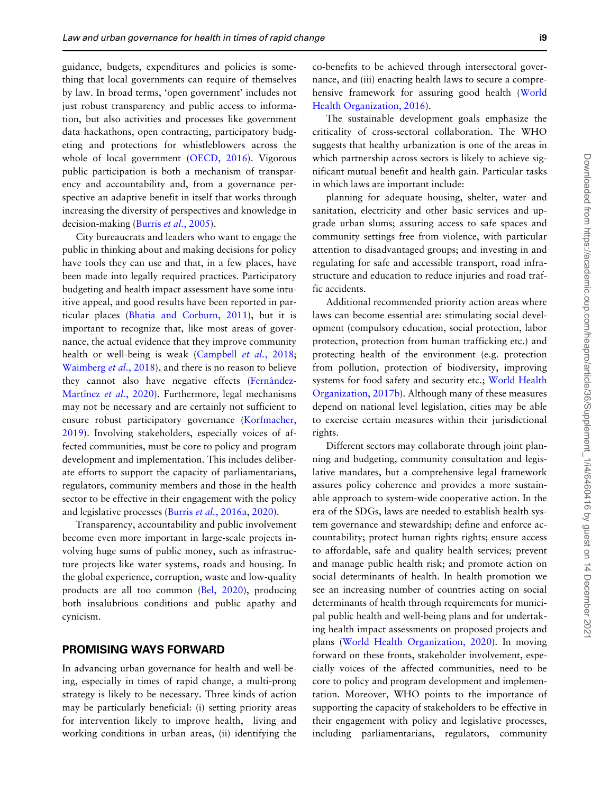guidance, budgets, expenditures and policies is something that local governments can require of themselves by law. In broad terms, 'open government' includes not just robust transparency and public access to information, but also activities and processes like government data hackathons, open contracting, participatory budgeting and protections for whistleblowers across the whole of local government ([OECD, 2016](#page-8-0)). Vigorous public participation is both a mechanism of transparency and accountability and, from a governance perspective an adaptive benefit in itself that works through increasing the diversity of perspectives and knowledge in decision-making (Burris et al.[, 2005\)](#page-7-0).

City bureaucrats and leaders who want to engage the public in thinking about and making decisions for policy have tools they can use and that, in a few places, have been made into legally required practices. Participatory budgeting and health impact assessment have some intuitive appeal, and good results have been reported in particular places [\(Bhatia and Corburn, 2011\)](#page-6-0), but it is important to recognize that, like most areas of governance, the actual evidence that they improve community health or well-being is weak ([Campbell](#page-7-0) et al., 2018; [Waimberg](#page-8-0) et al., 2018), and there is no reason to believe they cannot also have negative effects (Fernández-Martínez et al., 2020). Furthermore, legal mechanisms may not be necessary and are certainly not sufficient to ensure robust participatory governance [\(Korfmacher,](#page-8-0) [2019](#page-8-0)). Involving stakeholders, especially voices of affected communities, must be core to policy and program development and implementation. This includes deliberate efforts to support the capacity of parliamentarians, regulators, community members and those in the health sector to be effective in their engagement with the policy and legislative processes (Burris et al.[, 2016a,](#page-7-0) [2020](#page-7-0)).

Transparency, accountability and public involvement become even more important in large-scale projects involving huge sums of public money, such as infrastructure projects like water systems, roads and housing. In the global experience, corruption, waste and low-quality products are all too common ([Bel, 2020\)](#page-6-0), producing both insalubrious conditions and public apathy and cynicism.

#### PROMISING WAYS FORWARD

In advancing urban governance for health and well-being, especially in times of rapid change, a multi-prong strategy is likely to be necessary. Three kinds of action may be particularly beneficial: (i) setting priority areas for intervention likely to improve health, living and working conditions in urban areas, (ii) identifying the

co-benefits to be achieved through intersectoral governance, and (iii) enacting health laws to secure a comprehensive framework for assuring good health [\(World](#page-8-0) [Health Organization, 2016\)](#page-8-0).

The sustainable development goals emphasize the criticality of cross-sectoral collaboration. The WHO suggests that healthy urbanization is one of the areas in which partnership across sectors is likely to achieve significant mutual benefit and health gain. Particular tasks in which laws are important include:

planning for adequate housing, shelter, water and sanitation, electricity and other basic services and upgrade urban slums; assuring access to safe spaces and community settings free from violence, with particular attention to disadvantaged groups; and investing in and regulating for safe and accessible transport, road infrastructure and education to reduce injuries and road traffic accidents.

Additional recommended priority action areas where laws can become essential are: stimulating social development (compulsory education, social protection, labor protection, protection from human trafficking etc.) and protecting health of the environment (e.g. protection from pollution, protection of biodiversity, improving systems for food safety and security etc.; [World Health](#page-8-0) [Organization, 2017b](#page-8-0)). Although many of these measures depend on national level legislation, cities may be able to exercise certain measures within their jurisdictional rights.

Different sectors may collaborate through joint planning and budgeting, community consultation and legislative mandates, but a comprehensive legal framework assures policy coherence and provides a more sustainable approach to system-wide cooperative action. In the era of the SDGs, laws are needed to establish health system governance and stewardship; define and enforce accountability; protect human rights rights; ensure access to affordable, safe and quality health services; prevent and manage public health risk; and promote action on social determinants of health. In health promotion we see an increasing number of countries acting on social determinants of health through requirements for municipal public health and well-being plans and for undertaking health impact assessments on proposed projects and plans ([World Health Organization, 2020](#page-8-0)). In moving forward on these fronts, stakeholder involvement, especially voices of the affected communities, need to be core to policy and program development and implementation. Moreover, WHO points to the importance of supporting the capacity of stakeholders to be effective in their engagement with policy and legislative processes, including parliamentarians, regulators, community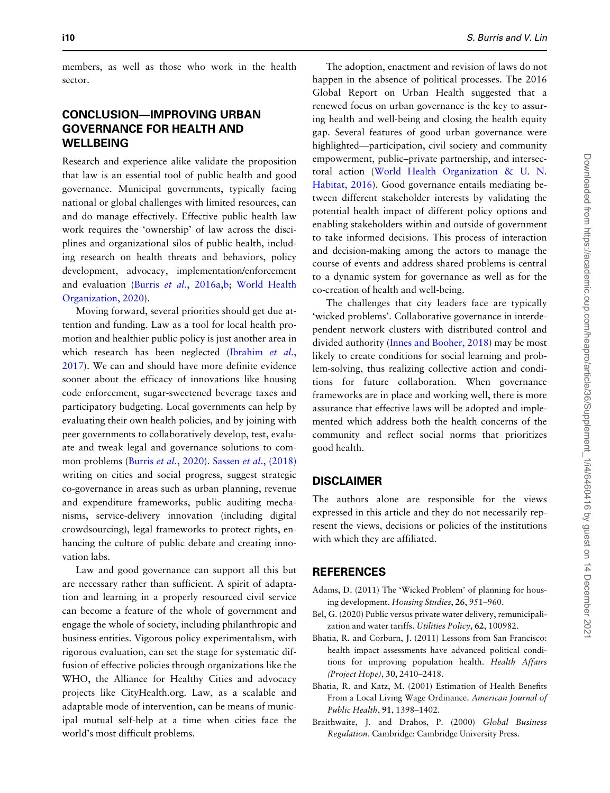members, as well as those who work in the health sector.

## CONCLUSION—IMPROVING URBAN GOVERNANCE FOR HEALTH AND WELLBEING

Research and experience alike validate the proposition that law is an essential tool of public health and good governance. Municipal governments, typically facing national or global challenges with limited resources, can and do manage effectively. Effective public health law work requires the 'ownership' of law across the disciplines and organizational silos of public health, including research on health threats and behaviors, policy development, advocacy, implementation/enforcement and evaluation (Burris et al.[, 2016a,b](#page-7-0); [World Health](#page-8-0) [Organization, 2020](#page-8-0)).

Moving forward, several priorities should get due attention and funding. Law as a tool for local health promotion and healthier public policy is just another area in which research has been neglected ([Ibrahim](#page-7-0) et al., [2017](#page-7-0)). We can and should have more definite evidence sooner about the efficacy of innovations like housing code enforcement, sugar-sweetened beverage taxes and participatory budgeting. Local governments can help by evaluating their own health policies, and by joining with peer governments to collaboratively develop, test, evaluate and tweak legal and governance solutions to common problems (Burris et al.[, 2020](#page-7-0)). Sassen et al[., \(2018\)](#page-8-0) writing on cities and social progress, suggest strategic co-governance in areas such as urban planning, revenue and expenditure frameworks, public auditing mechanisms, service-delivery innovation (including digital crowdsourcing), legal frameworks to protect rights, enhancing the culture of public debate and creating innovation labs.

Law and good governance can support all this but are necessary rather than sufficient. A spirit of adaptation and learning in a properly resourced civil service can become a feature of the whole of government and engage the whole of society, including philanthropic and business entities. Vigorous policy experimentalism, with rigorous evaluation, can set the stage for systematic diffusion of effective policies through organizations like the WHO, the Alliance for Healthy Cities and advocacy projects like CityHealth.org. Law, as a scalable and adaptable mode of intervention, can be means of municipal mutual self-help at a time when cities face the world's most difficult problems.

<span id="page-6-0"></span>i10 S. Burris and V. Lin

The adoption, enactment and revision of laws do not happen in the absence of political processes. The 2016 Global Report on Urban Health suggested that a renewed focus on urban governance is the key to assuring health and well-being and closing the health equity gap. Several features of good urban governance were highlighted—participation, civil society and community empowerment, public–private partnership, and intersectoral action ([World Health Organization](#page-8-0) [& U. N.](#page-8-0) [Habitat, 2016](#page-8-0)). Good governance entails mediating between different stakeholder interests by validating the potential health impact of different policy options and enabling stakeholders within and outside of government to take informed decisions. This process of interaction and decision-making among the actors to manage the course of events and address shared problems is central to a dynamic system for governance as well as for the co-creation of health and well-being.

The challenges that city leaders face are typically 'wicked problems'. Collaborative governance in interdependent network clusters with distributed control and divided authority ([Innes and Booher, 2018](#page-7-0)) may be most likely to create conditions for social learning and problem-solving, thus realizing collective action and conditions for future collaboration. When governance frameworks are in place and working well, there is more assurance that effective laws will be adopted and implemented which address both the health concerns of the community and reflect social norms that prioritizes good health.

#### DISCLAIMER

The authors alone are responsible for the views expressed in this article and they do not necessarily represent the views, decisions or policies of the institutions with which they are affiliated.

#### REFERENCES

- Adams, D. (2011) The 'Wicked Problem' of planning for housing development. Housing Studies, 26, 951–960.
- Bel, G. (2020) Public versus private water delivery, remunicipalization and water tariffs. Utilities Policy, 62, 100982.
- Bhatia, R. and Corburn, J. (2011) Lessons from San Francisco: health impact assessments have advanced political conditions for improving population health. Health Affairs (Project Hope), 30, 2410–2418.
- Bhatia, R. and Katz, M. (2001) Estimation of Health Benefits From a Local Living Wage Ordinance. American Journal of Public Health, 91, 1398–1402.
- Braithwaite, J. and Drahos, P. (2000) Global Business Regulation. Cambridge: Cambridge University Press.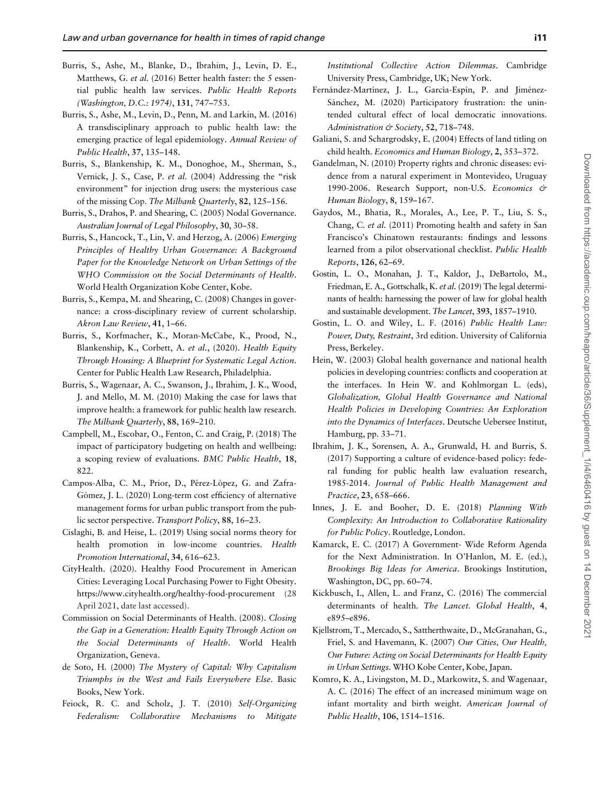- <span id="page-7-0"></span>Burris, S., Ashe, M., Blanke, D., Ibrahim, J., Levin, D. E., Matthews, G. et al. (2016) Better health faster: the 5 essential public health law services. Public Health Reports (Washington, D.C.: 1974), 131, 747–753.
- Burris, S., Ashe, M., Levin, D., Penn, M. and Larkin, M. (2016) A transdisciplinary approach to public health law: the emerging practice of legal epidemiology. Annual Review of Public Health, 37, 135–148.
- Burris, S., Blankenship, K. M., Donoghoe, M., Sherman, S., Vernick, J. S., Case, P. et al. (2004) Addressing the "risk environment" for injection drug users: the mysterious case of the missing Cop. The Milbank Quarterly, 82, 125–156.
- Burris, S., Drahos, P. and Shearing, C. (2005) Nodal Governance. Australian Journal of Legal Philosophy, 30, 30–58.
- Burris, S., Hancock, T., Lin, V. and Herzog, A. (2006) Emerging Principles of Healthy Urban Governance: A Background Paper for the Knowledge Network on Urban Settings of the WHO Commission on the Social Determinants of Health. World Health Organization Kobe Center, Kobe.
- Burris, S., Kempa, M. and Shearing, C. (2008) Changes in governance: a cross-disciplinary review of current scholarship. Akron Law Review, 41, 1–66.
- Burris, S., Korfmacher, K., Moran-McCabe, K., Prood, N., Blankenship, K., Corbett, A. et al., (2020). Health Equity Through Housing: A Blueprint for Systematic Legal Action. Center for Public Health Law Research, Philadelphia.
- Burris, S., Wagenaar, A. C., Swanson, J., Ibrahim, J. K., Wood, J. and Mello, M. M. (2010) Making the case for laws that improve health: a framework for public health law research. The Milbank Quarterly, 88, 169–210.
- Campbell, M., Escobar, O., Fenton, C. and Craig, P. (2018) The impact of participatory budgeting on health and wellbeing: a scoping review of evaluations. BMC Public Health, 18, 822.
- Campos-Alba, C. M., Prior, D., Pérez-López, G. and Zafra-Gómez, J. L. (2020) Long-term cost efficiency of alternative management forms for urban public transport from the public sector perspective. Transport Policy, 88, 16–23.
- Cislaghi, B. and Heise, L. (2019) Using social norms theory for health promotion in low-income countries. Health Promotion International, 34, 616–623.
- CityHealth. (2020). Healthy Food Procurement in American Cities: Leveraging Local Purchasing Power to Fight Obesity. <https://www.cityhealth.org/healthy-food-procurement> (28 April 2021, date last accessed).
- Commission on Social Determinants of Health. (2008). Closing the Gap in a Generation: Health Equity Through Action on the Social Determinants of Health. World Health Organization, Geneva.
- de Soto, H. (2000) The Mystery of Capital: Why Capitalism Triumphs in the West and Fails Everywhere Else. Basic Books, New York.
- Feiock, R. C. and Scholz, J. T. (2010) Self-Organizing Federalism: Collaborative Mechanisms to Mitigate

Institutional Collective Action Dilemmas. Cambridge University Press, Cambridge, UK; New York.

- Fernández-Martínez, J. L., García-Espín, P. and Jiménez-Sánchez, M. (2020) Participatory frustration: the unintended cultural effect of local democratic innovations. Administration & Society, 52, 718-748.
- Galiani, S. and Schargrodsky, E. (2004) Effects of land titling on child health. Economics and Human Biology, 2, 353–372.
- Gandelman, N. (2010) Property rights and chronic diseases: evidence from a natural experiment in Montevideo, Uruguay 1990-2006. Research Support, non-U.S. Economics & Human Biology, 8, 159–167.
- Gaydos, M., Bhatia, R., Morales, A., Lee, P. T., Liu, S. S., Chang, C. et al. (2011) Promoting health and safety in San Francisco's Chinatown restaurants: findings and lessons learned from a pilot observational checklist. Public Health Reports, 126, 62–69.
- Gostin, L. O., Monahan, J. T., Kaldor, J., DeBartolo, M., Friedman, E. A., Gottschalk, K. et al. (2019) The legal determinants of health: harnessing the power of law for global health and sustainable development. The Lancet, 393, 1857–1910.
- Gostin, L. O. and Wiley, L. F. (2016) Public Health Law: Power, Duty, Restraint, 3rd edition. University of California Press, Berkeley.
- Hein, W. (2003) Global health governance and national health policies in developing countries: conflicts and cooperation at the interfaces. In Hein W. and Kohlmorgan L. (eds), Globalization, Global Health Governance and National Health Policies in Developing Countries: An Exploration into the Dynamics of Interfaces. Deutsche Uebersee Institut, Hamburg, pp. 33–71.
- Ibrahim, J. K., Sorensen, A. A., Grunwald, H. and Burris, S. (2017) Supporting a culture of evidence-based policy: federal funding for public health law evaluation research, 1985-2014. Journal of Public Health Management and Practice, 23, 658–666.
- Innes, J. E. and Booher, D. E. (2018) Planning With Complexity: An Introduction to Collaborative Rationality for Public Policy. Routledge, London.
- Kamarck, E. C. (2017) A Government- Wide Reform Agenda for the Next Administration. In O'Hanlon, M. E. (ed.), Brookings Big Ideas for America. Brookings Institution, Washington, DC, pp. 60–74.
- Kickbusch, I., Allen, L. and Franz, C. (2016) The commercial determinants of health. The Lancet. Global Health, 4, e895–e896.
- Kjellstrom, T., Mercado, S., Sattherthwaite, D., McGranahan, G., Friel, S. and Havemann, K. (2007) Our Cities, Our Health, Our Future: Acting on Social Determinants for Health Equity in Urban Settings. WHO Kobe Center, Kobe, Japan.
- Komro, K. A., Livingston, M. D., Markowitz, S. and Wagenaar, A. C. (2016) The effect of an increased minimum wage on infant mortality and birth weight. American Journal of Public Health, 106, 1514–1516.